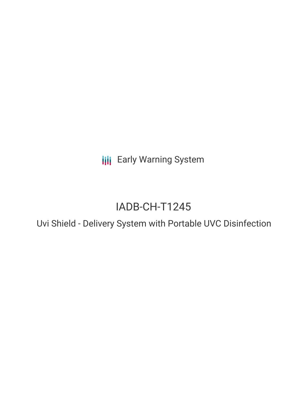**III** Early Warning System

# IADB-CH-T1245

Uvi Shield - Delivery System with Portable UVC Disinfection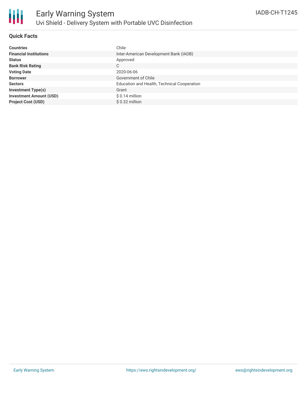

### **Quick Facts**

| <b>Countries</b>               | Chile                                       |
|--------------------------------|---------------------------------------------|
| <b>Financial Institutions</b>  | Inter-American Development Bank (IADB)      |
| <b>Status</b>                  | Approved                                    |
| <b>Bank Risk Rating</b>        | C                                           |
| <b>Voting Date</b>             | 2020-06-06                                  |
| <b>Borrower</b>                | Government of Chile                         |
| <b>Sectors</b>                 | Education and Health, Technical Cooperation |
| <b>Investment Type(s)</b>      | Grant                                       |
| <b>Investment Amount (USD)</b> | $$0.14$ million                             |
| <b>Project Cost (USD)</b>      | $$0.32$ million                             |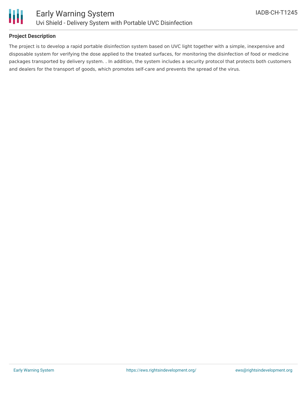

### **Project Description**

The project is to develop a rapid portable disinfection system based on UVC light together with a simple, inexpensive and disposable system for verifying the dose applied to the treated surfaces, for monitoring the disinfection of food or medicine packages transported by delivery system. . In addition, the system includes a security protocol that protects both customers and dealers for the transport of goods, which promotes self-care and prevents the spread of the virus.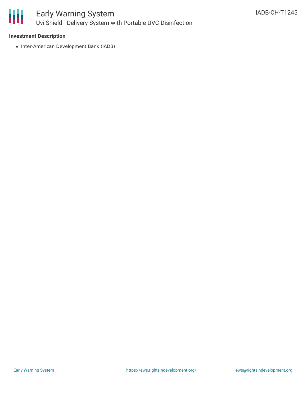

### **Investment Description**

• Inter-American Development Bank (IADB)